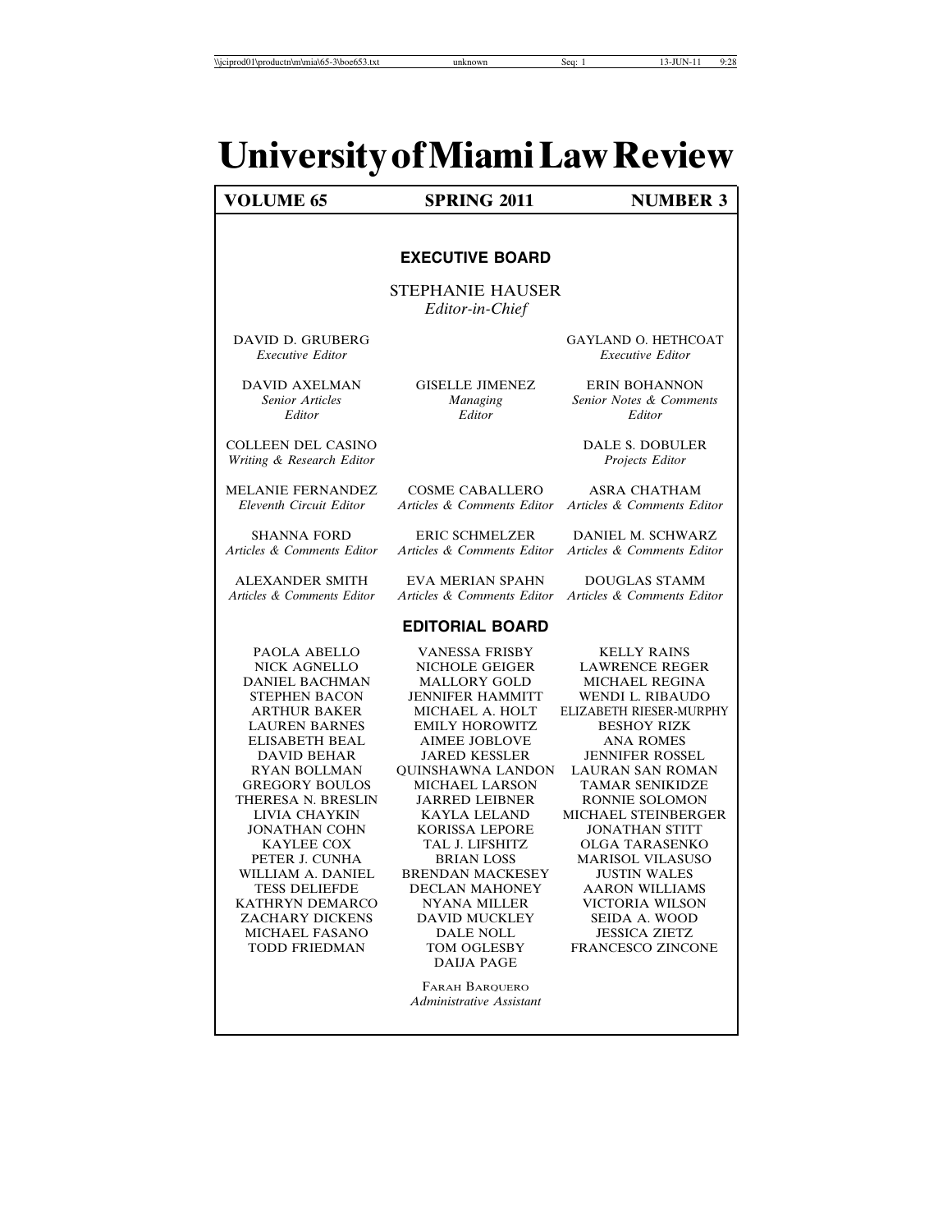## **UniversityofMiamiLawReview**

#### **VOLUME 65** SPRING 2011 NUMBER 3

#### **EXECUTIVE BOARD**

STEPHANIE HAUSER *Editor-in-Chief*

DAVID D. GRUBERG GAYLAND O. HETHCOAT *Executive Editor Executive Editor*

*Senior Articles Managing Senior Notes & Comments Editor Editor Editor*

DAVID AXELMAN GISELLE JIMENEZ ERIN BOHANNON

COLLEEN DEL CASINO DALE S. DOBULER

MELANIE FERNANDEZ COSME CABALLERO ASRA CHATHAM<br>
Eleventh Circuit Editor Articles & Comments Editor Articles & Comments Ed *Eleventh Circuit Editor Articles & Comments Editor Articles & Comments Editor*

SHANNA FORD ERIC SCHMELZER DANIEL M. SCHWARZ<br>Articles & Comments Editor Articles & Comments Editor Articles & Comments Editor *Articles & Comments Editor Articles & Comments Editor Articles & Comments Editor*

ALEXANDER SMITH EVA MERIAN SPAHN DOUGLAS STAMM *Articles & Comments Editor Articles & Comments Editor Articles & Comments Editor*

#### **EDITORIAL BOARD**

NICK AGNELLO **GREGORY BOULOS** JONATHAN COHN KORISSA LEPORE KAYLEE COX TAL J. LIFSHITZ MICHAEL FASANO

DANIEL BACHMAN MALLORY GOLD MICHAEL REGINA STEPHEN BACON JENNIFER HAMMITT WENDI L. RIBAUDO LAUREN BARNES EMILY HOROWITZ BESHOY RIZK ELISABETH BEAL AIMEE JOBLOVE ANA ROMES THERESA N. BRESLIN JARRED LEIBNER RONNIE SOLOMON PETER J. CUNHA BRIAN LOSS MARISOL VILASUSO WILLIAM A. DANIEL BRENDAN MACKESEY JUSTIN WALES KATHRYN DEMARCO NYANA MILLER VICTORIA WILSON ZACHARY DICKENS DAVID MUCKLEY SEIDA A. WOOD DAIJA PAGE

> FARAH BARQUERO *Administrative Assistant*

PAOLA ABELLO VANESSA FRISBY KELLY RAINS ELIZABETH RIESER-MURPHY JENNIFER ROSSEL RYAN BOLLMAN QUINSHAWNA LANDON LAURAN SAN ROMAN LIVIA CHAYKIN KAYLA LELAND MICHAEL STEINBERGER OLGA TARASENKO AARON WILLIAMS TODD FRIEDMAN TOM OGLESBY FRANCESCO ZINCONE

*Writing & Research Editor Projects Editor*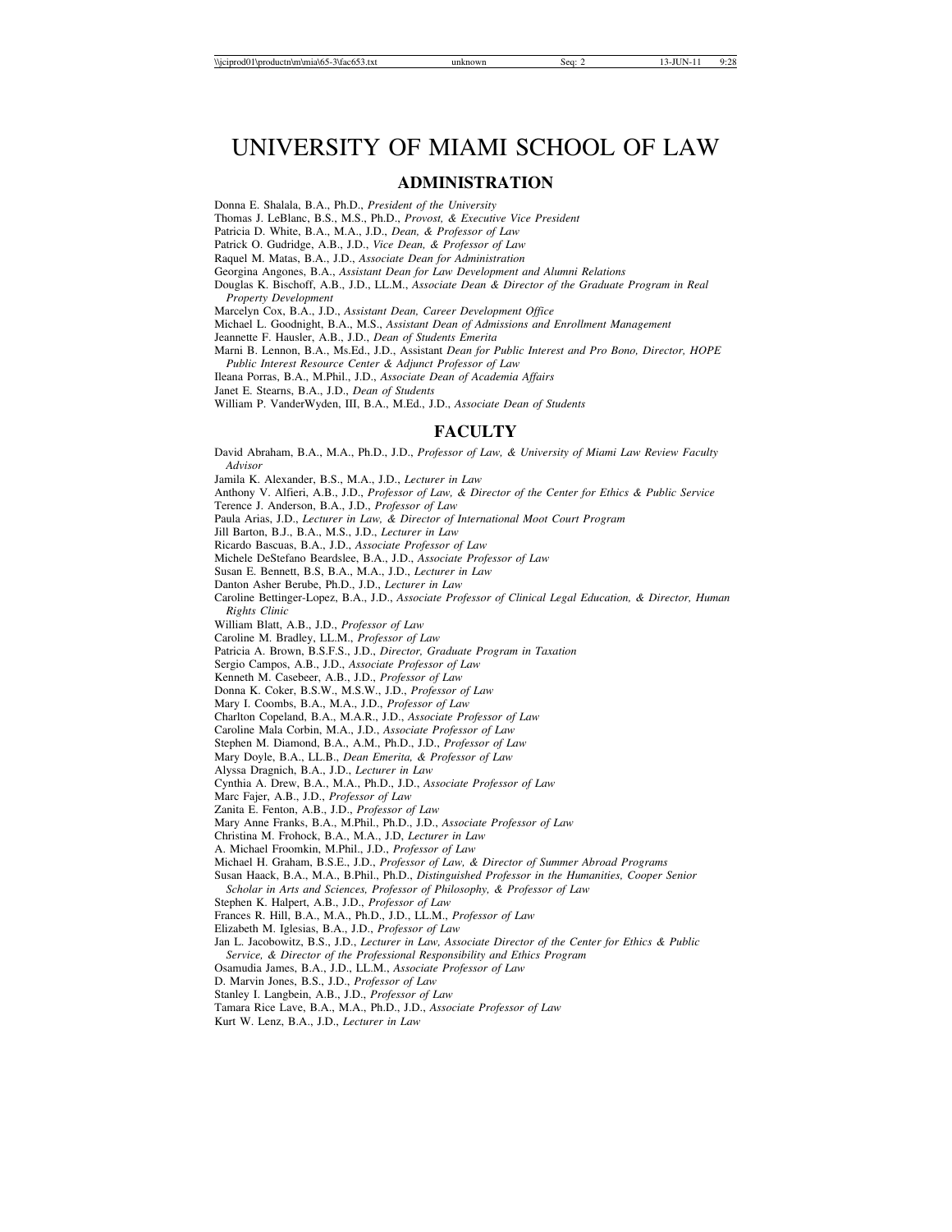$\langle \text{Niciprod01\textbackslashm\backslashmiab} (5-3\text{Yac}653.txt \text{ unknown} \text{Seq: 2} 13-\text{JUN-11} 9:28 \rangle$ 

### UNIVERSITY OF MIAMI SCHOOL OF LAW

#### **ADMINISTRATION**

Donna E. Shalala, B.A., Ph.D., *President of the University*

Thomas J. LeBlanc, B.S., M.S., Ph.D., *Provost, & Executive Vice President*

Patricia D. White, B.A., M.A., J.D., *Dean, & Professor of Law*

Patrick O. Gudridge, A.B., J.D., *Vice Dean, & Professor of Law*

Raquel M. Matas, B.A., J.D., *Associate Dean for Administration*

Georgina Angones, B.A., *Assistant Dean for Law Development and Alumni Relations*

Douglas K. Bischoff, A.B., J.D., LL.M., *Associate Dean & Director of the Graduate Program in Real Property Development*

Marcelyn Cox, B.A., J.D., *Assistant Dean, Career Development Office*

Michael L. Goodnight, B.A., M.S., *Assistant Dean of Admissions and Enrollment Management*

Jeannette F. Hausler, A.B., J.D., *Dean of Students Emerita*

Marni B. Lennon, B.A., Ms.Ed., J.D., Assistant *Dean for Public Interest and Pro Bono, Director, HOPE*

*Public Interest Resource Center & Adjunct Professor of Law* Ileana Porras, B.A., M.Phil., J.D., *Associate Dean of Academia Affairs*

Janet E. Stearns, B.A., J.D., *Dean of Students*

William P. VanderWyden, III, B.A., M.Ed., J.D., *Associate Dean of Students*

#### **FACULTY**

David Abraham, B.A., M.A., Ph.D., J.D., *Professor of Law, & University of Miami Law Review Faculty Advisor*

Jamila K. Alexander, B.S., M.A., J.D., *Lecturer in Law*

Anthony V. Alfieri, A.B., J.D., *Professor of Law, & Director of the Center for Ethics & Public Service*

Terence J. Anderson, B.A., J.D., *Professor of Law*

Paula Arias, J.D., *Lecturer in Law, & Director of International Moot Court Program*

Jill Barton, B.J., B.A., M.S., J.D., *Lecturer in Law*

Ricardo Bascuas, B.A., J.D., *Associate Professor of Law*

Michele DeStefano Beardslee, B.A., J.D., *Associate Professor of Law*

Susan E. Bennett, B.S, B.A., M.A., J.D., *Lecturer in Law*

Danton Asher Berube, Ph.D., J.D., *Lecturer in Law*

Caroline Bettinger-Lopez, B.A., J.D., *Associate Professor of Clinical Legal Education, & Director, Human Rights Clinic*

William Blatt, A.B., J.D., *Professor of Law*

Caroline M. Bradley, LL.M., *Professor of Law*

Patricia A. Brown, B.S.F.S., J.D., *Director, Graduate Program in Taxation*

Sergio Campos, A.B., J.D., *Associate Professor of Law*

Kenneth M. Casebeer, A.B., J.D., *Professor of Law*

Donna K. Coker, B.S.W., M.S.W., J.D., *Professor of Law*

Mary I. Coombs, B.A., M.A., J.D., *Professor of Law*

Charlton Copeland, B.A., M.A.R., J.D., *Associate Professor of Law*

Caroline Mala Corbin, M.A., J.D., *Associate Professor of Law*

Stephen M. Diamond, B.A., A.M., Ph.D., J.D., *Professor of Law*

Mary Doyle, B.A., LL.B., *Dean Emerita, & Professor of Law*

Alyssa Dragnich, B.A., J.D., *Lecturer in Law*

Cynthia A. Drew, B.A., M.A., Ph.D., J.D., *Associate Professor of Law*

Marc Fajer, A.B., J.D., *Professor of Law*

Zanita E. Fenton, A.B., J.D., *Professor of Law*

Mary Anne Franks, B.A., M.Phil., Ph.D., J.D., *Associate Professor of Law*

Christina M. Frohock, B.A., M.A., J.D, *Lecturer in Law*

A. Michael Froomkin, M.Phil., J.D., *Professor of Law*

Michael H. Graham, B.S.E., J.D., *Professor of Law, & Director of Summer Abroad Programs*

Susan Haack, B.A., M.A., B.Phil., Ph.D., *Distinguished Professor in the Humanities, Cooper Senior Scholar in Arts and Sciences, Professor of Philosophy, & Professor of Law*

Stephen K. Halpert, A.B., J.D., *Professor of Law*

Frances R. Hill, B.A., M.A., Ph.D., J.D., LL.M., *Professor of Law*

Elizabeth M. Iglesias, B.A., J.D., *Professor of Law*

Jan L. Jacobowitz, B.S., J.D., *Lecturer in Law, Associate Director of the Center for Ethics & Public Service, & Director of the Professional Responsibility and Ethics Program*

Osamudia James, B.A., J.D., LL.M., *Associate Professor of Law*

D. Marvin Jones, B.S., J.D., *Professor of Law*

Stanley I. Langbein, A.B., J.D., *Professor of Law*

Tamara Rice Lave, B.A., M.A., Ph.D., J.D., *Associate Professor of Law*

Kurt W. Lenz, B.A., J.D., *Lecturer in Law*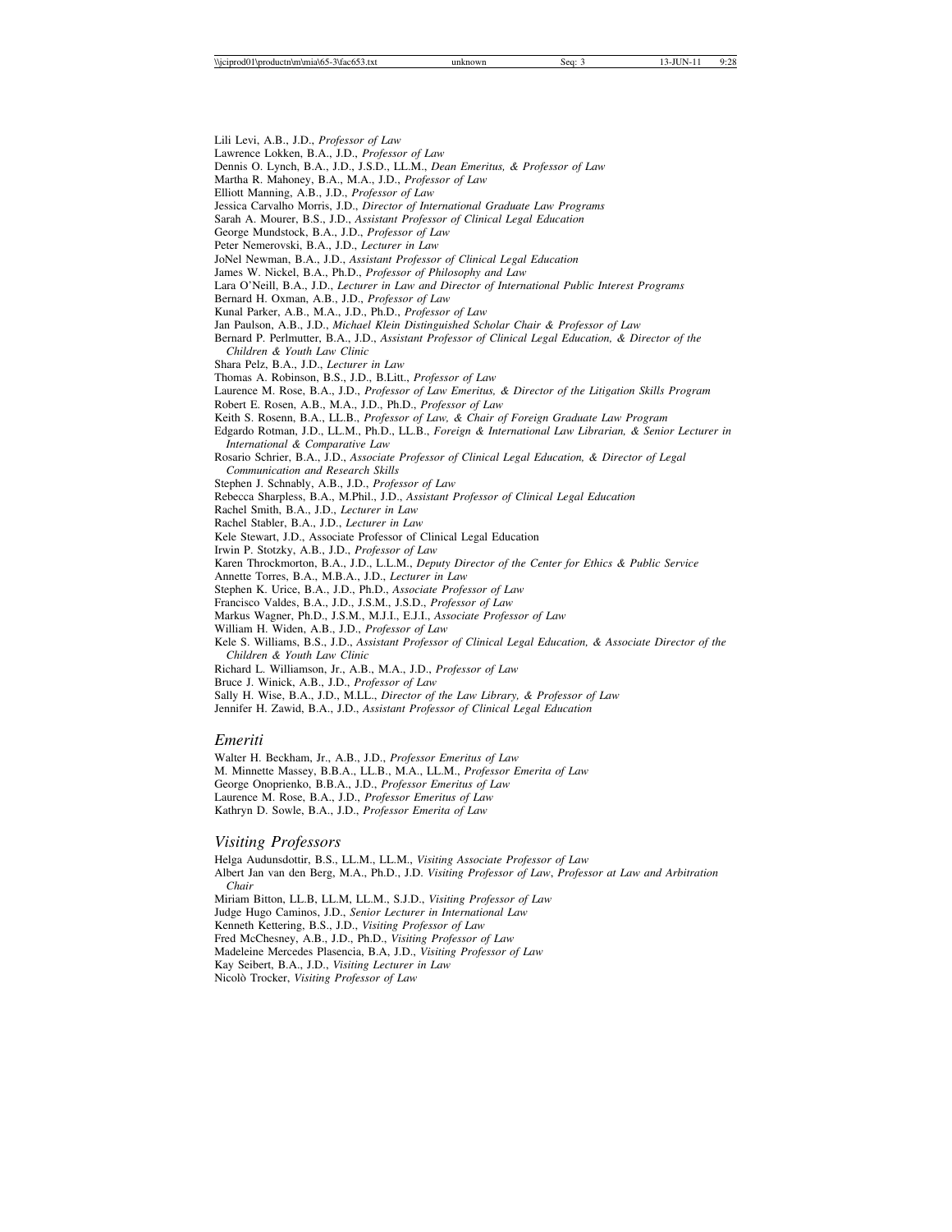Lili Levi, A.B., J.D., *Professor of Law*

Lawrence Lokken, B.A., J.D., *Professor of Law*

Dennis O. Lynch, B.A., J.D., J.S.D., LL.M., *Dean Emeritus, & Professor of Law*

Martha R. Mahoney, B.A., M.A., J.D., *Professor of Law*

Elliott Manning, A.B., J.D., *Professor of Law*

Jessica Carvalho Morris, J.D., *Director of International Graduate Law Programs*

Sarah A. Mourer, B.S., J.D., *Assistant Professor of Clinical Legal Education*

George Mundstock, B.A., J.D., *Professor of Law*

Peter Nemerovski, B.A., J.D., *Lecturer in Law*

JoNel Newman, B.A., J.D., *Assistant Professor of Clinical Legal Education*

James W. Nickel, B.A., Ph.D., *Professor of Philosophy and Law*

Lara O'Neill, B.A., J.D., *Lecturer in Law and Director of International Public Interest Programs*

Bernard H. Oxman, A.B., J.D., *Professor of Law*

Kunal Parker, A.B., M.A., J.D., Ph.D., *Professor of Law*

Jan Paulson, A.B., J.D., *Michael Klein Distinguished Scholar Chair & Professor of Law*

Bernard P. Perlmutter, B.A., J.D., *Assistant Professor of Clinical Legal Education, & Director of the Children & Youth Law Clinic*

Shara Pelz, B.A., J.D., *Lecturer in Law*

Thomas A. Robinson, B.S., J.D., B.Litt., *Professor of Law*

Laurence M. Rose, B.A., J.D., *Professor of Law Emeritus, & Director of the Litigation Skills Program*

Robert E. Rosen, A.B., M.A., J.D., Ph.D., *Professor of Law*

Keith S. Rosenn, B.A., LL.B., *Professor of Law, & Chair of Foreign Graduate Law Program*

Edgardo Rotman, J.D., LL.M., Ph.D., LL.B., *Foreign & International Law Librarian, & Senior Lecturer in International & Comparative Law*

Rosario Schrier, B.A., J.D., *Associate Professor of Clinical Legal Education, & Director of Legal*

*Communication and Research Skills*

Stephen J. Schnably, A.B., J.D., *Professor of Law*

Rebecca Sharpless, B.A., M.Phil., J.D., *Assistant Professor of Clinical Legal Education*

Rachel Smith, B.A., J.D., *Lecturer in Law*

Rachel Stabler, B.A., J.D., *Lecturer in Law*

Kele Stewart, J.D., Associate Professor of Clinical Legal Education

Irwin P. Stotzky, A.B., J.D., *Professor of Law*

Karen Throckmorton, B.A., J.D., L.L.M., *Deputy Director of the Center for Ethics & Public Service*

Annette Torres, B.A., M.B.A., J.D., *Lecturer in Law*

Stephen K. Urice, B.A., J.D., Ph.D., *Associate Professor of Law*

Francisco Valdes, B.A., J.D., J.S.M., J.S.D., *Professor of Law*

Markus Wagner, Ph.D., J.S.M., M.J.I., E.J.I., *Associate Professor of Law*

William H. Widen, A.B., J.D., *Professor of Law*

Kele S. Williams, B.S., J.D., *Assistant Professor of Clinical Legal Education, & Associate Director of the Children & Youth Law Clinic*

Richard L. Williamson, Jr., A.B., M.A., J.D., *Professor of Law*

Bruce J. Winick, A.B., J.D., *Professor of Law*

Sally H. Wise, B.A., J.D., M.LL., *Director of the Law Library, & Professor of Law*

Jennifer H. Zawid, B.A., J.D., *Assistant Professor of Clinical Legal Education*

#### *Emeriti*

Walter H. Beckham, Jr., A.B., J.D., *Professor Emeritus of Law* M. Minnette Massey, B.B.A., LL.B., M.A., LL.M., *Professor Emerita of Law* George Onoprienko, B.B.A., J.D., *Professor Emeritus of Law* Laurence M. Rose, B.A., J.D., *Professor Emeritus of Law* Kathryn D. Sowle, B.A., J.D., *Professor Emerita of Law*

#### *Visiting Professors*

Helga Audunsdottir, B.S., LL.M., LL.M., *Visiting Associate Professor of Law* Albert Jan van den Berg, M.A., Ph.D., J.D. *Visiting Professor of Law*, *Professor at Law and Arbitration Chair* Miriam Bitton, LL.B, LL.M, LL.M., S.J.D., *Visiting Professor of Law* Judge Hugo Caminos, J.D., *Senior Lecturer in International Law* Kenneth Kettering, B.S., J.D., *Visiting Professor of Law* Fred McChesney, A.B., J.D., Ph.D., *Visiting Professor of Law* Madeleine Mercedes Plasencia, B.A, J.D., *Visiting Professor of Law* Kay Seibert, B.A., J.D., *Visiting Lecturer in Law* Nicolò Trocker, *Visiting Professor of Law*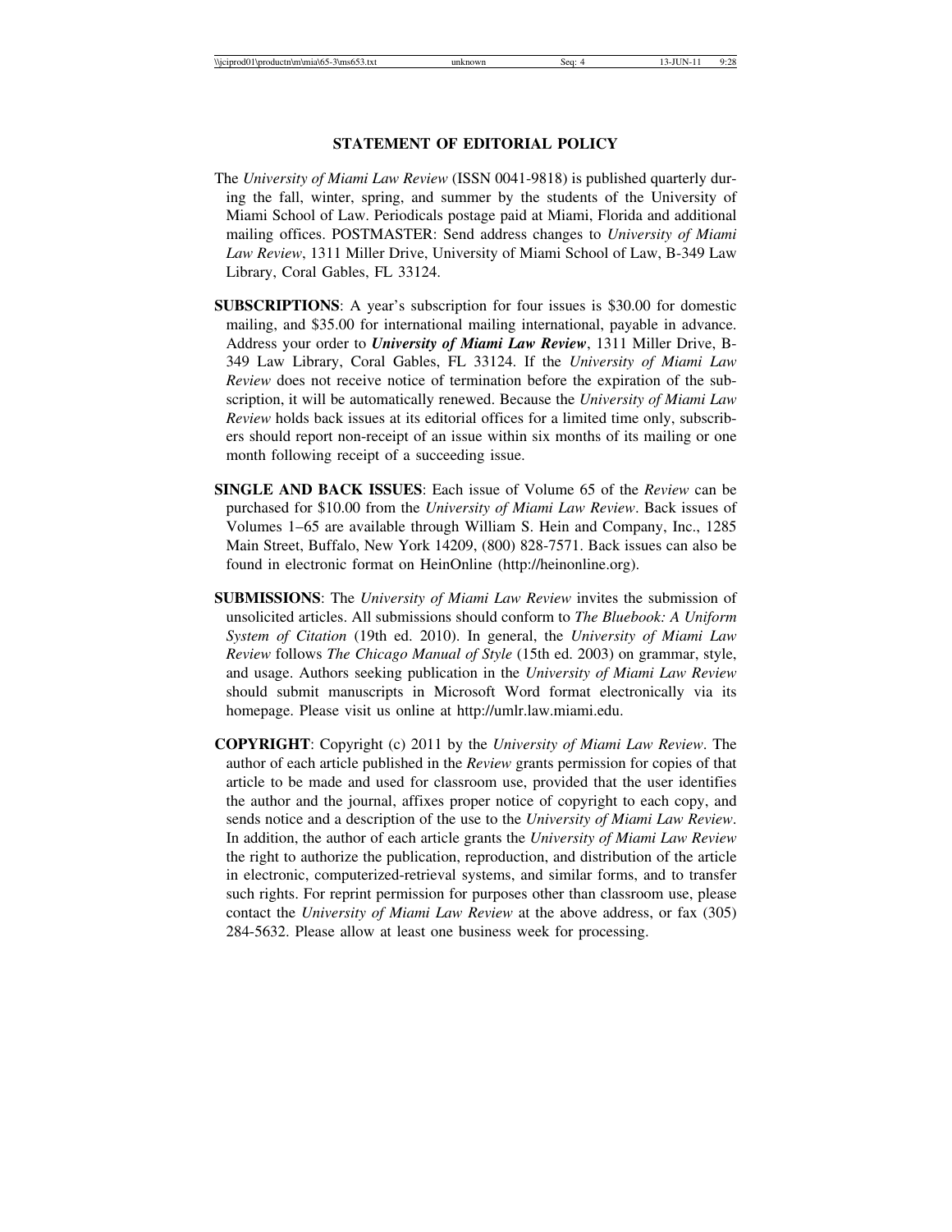$\langle \text{Viciprod01\textbackslashm\backslashmia\backslash 65-3\backslash ms653.txt}$  unknown Seq: 4 13-JUN-11 9:28

#### **STATEMENT OF EDITORIAL POLICY**

- The *University of Miami Law Review* (ISSN 0041-9818) is published quarterly during the fall, winter, spring, and summer by the students of the University of Miami School of Law. Periodicals postage paid at Miami, Florida and additional mailing offices. POSTMASTER: Send address changes to *University of Miami Law Review*, 1311 Miller Drive, University of Miami School of Law, B-349 Law Library, Coral Gables, FL 33124.
- **SUBSCRIPTIONS**: A year's subscription for four issues is \$30.00 for domestic mailing, and \$35.00 for international mailing international, payable in advance. Address your order to *University of Miami Law Review*, 1311 Miller Drive, B-349 Law Library, Coral Gables, FL 33124. If the *University of Miami Law Review* does not receive notice of termination before the expiration of the subscription, it will be automatically renewed. Because the *University of Miami Law Review* holds back issues at its editorial offices for a limited time only, subscribers should report non-receipt of an issue within six months of its mailing or one month following receipt of a succeeding issue.
- **SINGLE AND BACK ISSUES**: Each issue of Volume 65 of the *Review* can be purchased for \$10.00 from the *University of Miami Law Review*. Back issues of Volumes 1–65 are available through William S. Hein and Company, Inc., 1285 Main Street, Buffalo, New York 14209, (800) 828-7571. Back issues can also be found in electronic format on HeinOnline (http://heinonline.org).
- **SUBMISSIONS**: The *University of Miami Law Review* invites the submission of unsolicited articles. All submissions should conform to *The Bluebook: A Uniform System of Citation* (19th ed. 2010). In general, the *University of Miami Law Review* follows *The Chicago Manual of Style* (15th ed. 2003) on grammar, style, and usage. Authors seeking publication in the *University of Miami Law Review* should submit manuscripts in Microsoft Word format electronically via its homepage. Please visit us online at http://umlr.law.miami.edu.
- **COPYRIGHT**: Copyright (c) 2011 by the *University of Miami Law Review*. The author of each article published in the *Review* grants permission for copies of that article to be made and used for classroom use, provided that the user identifies the author and the journal, affixes proper notice of copyright to each copy, and sends notice and a description of the use to the *University of Miami Law Review*. In addition, the author of each article grants the *University of Miami Law Review* the right to authorize the publication, reproduction, and distribution of the article in electronic, computerized-retrieval systems, and similar forms, and to transfer such rights. For reprint permission for purposes other than classroom use, please contact the *University of Miami Law Review* at the above address, or fax (305) 284-5632. Please allow at least one business week for processing.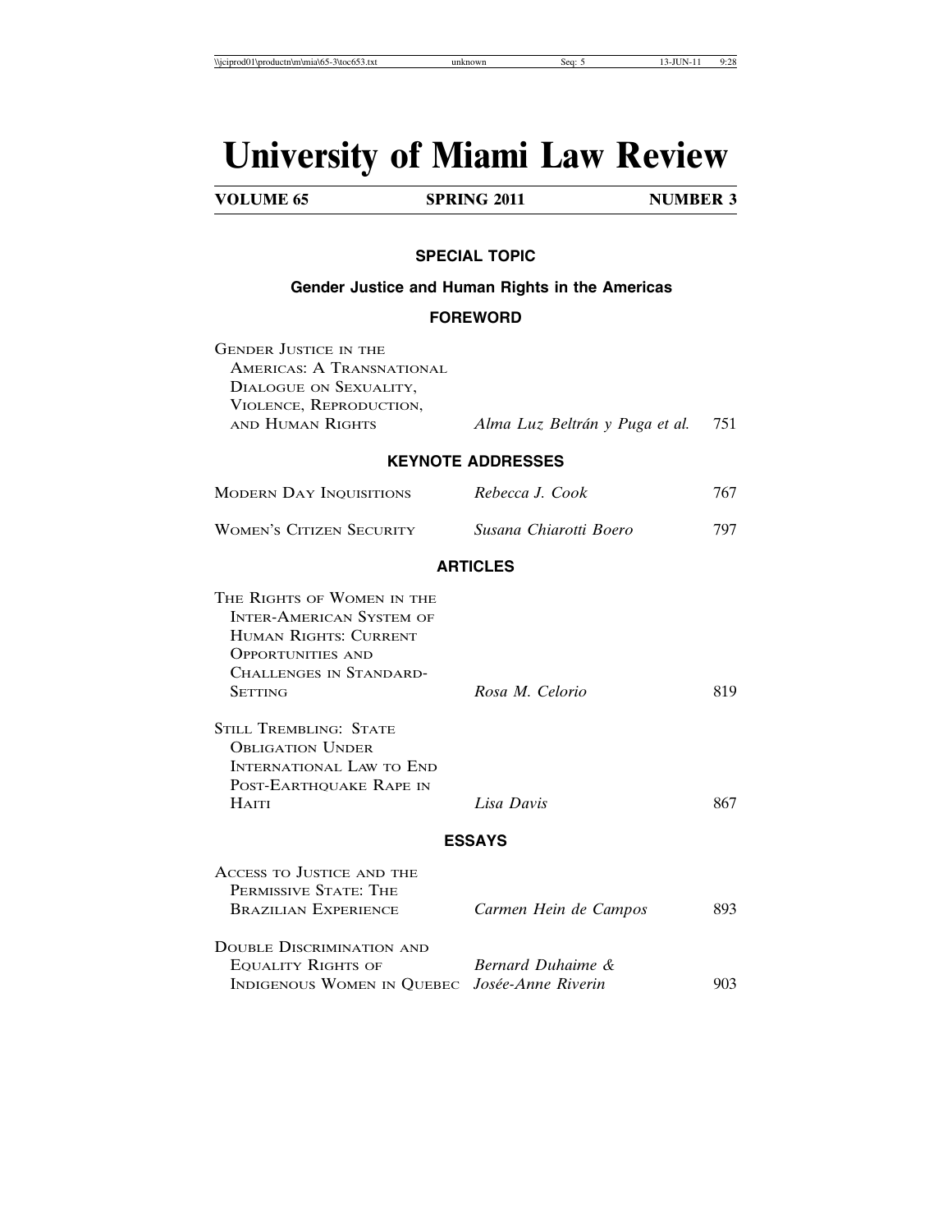# **University of Miami Law Review**

| <b>VOLUME 65</b> | <b>SPRING 2011</b> | <b>NUMBER 3</b> |
|------------------|--------------------|-----------------|
|                  |                    |                 |

#### **SPECIAL TOPIC**

#### **Gender Justice and Human Rights in the Americas**

### **FOREWORD**

| <b>GENDER JUSTICE IN THE</b><br>AMERICAS: A TRANSNATIONAL<br>DIALOGUE ON SEXUALITY,<br>VIOLENCE, REPRODUCTION,<br>AND HUMAN RIGHTS                                                                                                                                    | Alma Luz Beltrán y Puga et al. | 751 |
|-----------------------------------------------------------------------------------------------------------------------------------------------------------------------------------------------------------------------------------------------------------------------|--------------------------------|-----|
|                                                                                                                                                                                                                                                                       | <b>KEYNOTE ADDRESSES</b>       |     |
| <b>MODERN DAY INQUISITIONS</b>                                                                                                                                                                                                                                        | Rebecca J. Cook                | 767 |
| <b>WOMEN'S CITIZEN SECURITY</b>                                                                                                                                                                                                                                       | Susana Chiarotti Boero         | 797 |
|                                                                                                                                                                                                                                                                       | <b>ARTICLES</b>                |     |
| THE RIGHTS OF WOMEN IN THE<br><b>INTER-AMERICAN SYSTEM OF</b><br><b>HUMAN RIGHTS: CURRENT</b><br><b>OPPORTUNITIES AND</b><br>CHALLENGES IN STANDARD-<br><b>SETTING</b><br><b>STILL TREMBLING: STATE</b><br><b>OBLIGATION UNDER</b><br><b>INTERNATIONAL LAW TO END</b> | Rosa M. Celorio                | 819 |
| POST-EARTHQUAKE RAPE IN<br><b>HAITI</b>                                                                                                                                                                                                                               | Lisa Davis                     | 867 |
|                                                                                                                                                                                                                                                                       | <b>ESSAYS</b>                  |     |
| ACCESS TO JUSTICE AND THE<br>PERMISSIVE STATE: THE<br><b>BRAZILIAN EXPERIENCE</b>                                                                                                                                                                                     | Carmen Hein de Campos          | 893 |
| <b>DOUBLE DISCRIMINATION AND</b><br><b>EQUALITY RIGHTS OF</b><br>INDIGENOUS WOMEN IN QUEBEC Josée-Anne Riverin                                                                                                                                                        | Bernard Duhaime &              | 903 |